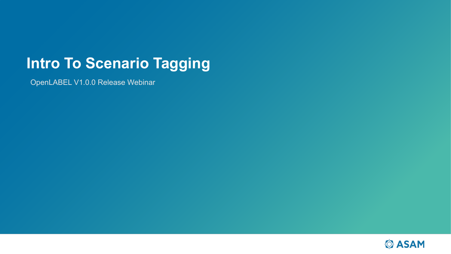# **Intro To Scenario Tagging**

OpenLABEL V1.0.0 Release Webinar

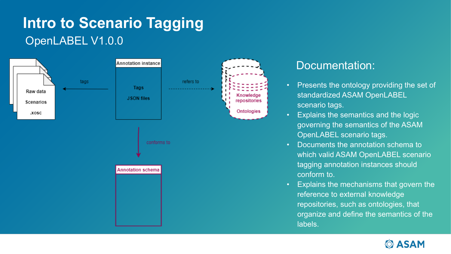# **Intro to Scenario Tagging** OpenLABEL V1.0.0



#### Documentation:

- Presents the ontology providing the set of standardized ASAM OpenLABEL scenario tags.
- Explains the semantics and the logic governing the semantics of the ASAM OpenLABEL scenario tags.
- Documents the annotation schema to which valid ASAM OpenLABEL scenario tagging annotation instances should conform to.
- Explains the mechanisms that govern the reference to external knowledge repositories, such as ontologies, that organize and define the semantics of the labels.

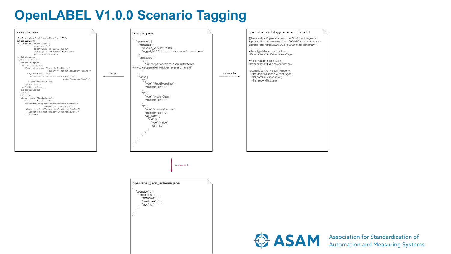## **OpenLABEL V1.0.0 Scenario Tagging**



**ASAM** Association for Standardization of<br>Automation and Measuring Systems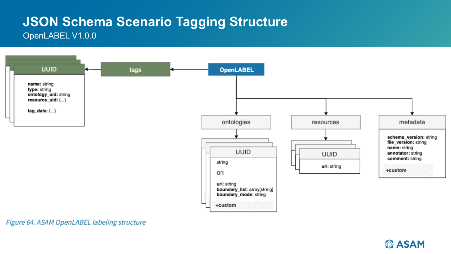### **JSON Schema Scenario Tagging Structure** OpenLABEL V1.0.0



Figure 64. ASAM OpenLABEL labeling structure

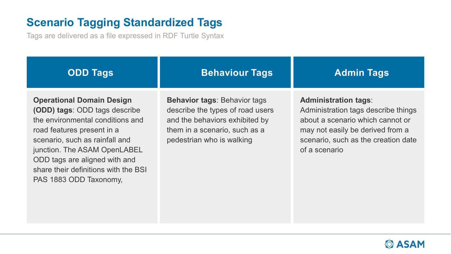### **Scenario Tagging Standardized Tags**

Tags are delivered as a file expressed in RDF Turtle Syntax

| <b>ODD Tags</b>                                                                                                                                                                                                                                                                                                 | <b>Behaviour Tags</b>                                                                                                                                                   | <b>Admin Tags</b>                                                                                                                                                                                  |
|-----------------------------------------------------------------------------------------------------------------------------------------------------------------------------------------------------------------------------------------------------------------------------------------------------------------|-------------------------------------------------------------------------------------------------------------------------------------------------------------------------|----------------------------------------------------------------------------------------------------------------------------------------------------------------------------------------------------|
| <b>Operational Domain Design</b><br><b>(ODD) tags: ODD tags describe</b><br>the environmental conditions and<br>road features present in a<br>scenario, such as rainfall and<br>junction. The ASAM OpenLABEL<br>ODD tags are aligned with and<br>share their definitions with the BSI<br>PAS 1883 ODD Taxonomy, | <b>Behavior tags: Behavior tags</b><br>describe the types of road users<br>and the behaviors exhibited by<br>them in a scenario, such as a<br>pedestrian who is walking | <b>Administration tags:</b><br>Administration tags describe things<br>about a scenario which cannot or<br>may not easily be derived from a<br>scenario, such as the creation date<br>of a scenario |